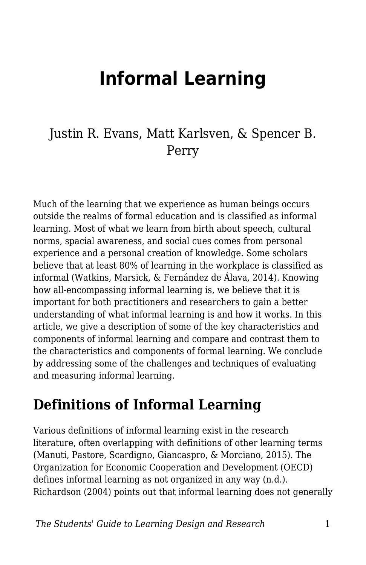# **Informal Learning**

#### Justin R. Evans, Matt Karlsven, & Spencer B. Perry

Much of the learning that we experience as human beings occurs outside the realms of formal education and is classified as informal learning. Most of what we learn from birth about speech, cultural norms, spacial awareness, and social cues comes from personal experience and a personal creation of knowledge. Some scholars believe that at least 80% of learning in the workplace is classified as informal (Watkins, Marsick, & Fernández de Álava, 2014). Knowing how all-encompassing informal learning is, we believe that it is important for both practitioners and researchers to gain a better understanding of what informal learning is and how it works. In this article, we give a description of some of the key characteristics and components of informal learning and compare and contrast them to the characteristics and components of formal learning. We conclude by addressing some of the challenges and techniques of evaluating and measuring informal learning.

#### **Definitions of Informal Learning**

Various definitions of informal learning exist in the research literature, often overlapping with definitions of other learning terms (Manuti, Pastore, Scardigno, Giancaspro, & Morciano, 2015). The Organization for Economic Cooperation and Development (OECD) defines informal learning as not organized in any way (n.d.). Richardson (2004) points out that informal learning does not generally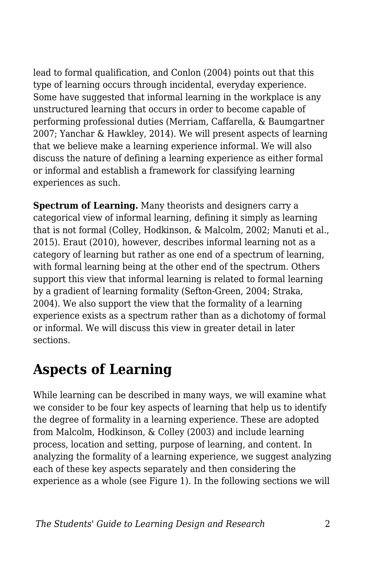lead to formal qualification, and Conlon (2004) points out that this type of learning occurs through incidental, everyday experience. Some have suggested that informal learning in the workplace is any unstructured learning that occurs in order to become capable of performing professional duties (Merriam, Caffarella, & Baumgartner 2007; Yanchar & Hawkley, 2014). We will present aspects of learning that we believe make a learning experience informal. We will also discuss the nature of defining a learning experience as either formal or informal and establish a framework for classifying learning experiences as such.

**Spectrum of Learning.** Many theorists and designers carry a categorical view of informal learning, defining it simply as learning that is not formal (Colley, Hodkinson, & Malcolm, 2002; Manuti et al., 2015). Eraut (2010), however, describes informal learning not as a category of learning but rather as one end of a spectrum of learning, with formal learning being at the other end of the spectrum. Others support this view that informal learning is related to formal learning by a gradient of learning formality (Sefton-Green, 2004; Straka, 2004). We also support the view that the formality of a learning experience exists as a spectrum rather than as a dichotomy of formal or informal. We will discuss this view in greater detail in later sections.

### **Aspects of Learning**

While learning can be described in many ways, we will examine what we consider to be four key aspects of learning that help us to identify the degree of formality in a learning experience. These are adopted from Malcolm, Hodkinson, & Colley (2003) and include learning process, location and setting, purpose of learning, and content. In analyzing the formality of a learning experience, we suggest analyzing each of these key aspects separately and then considering the experience as a whole (see Figure 1). In the following sections we will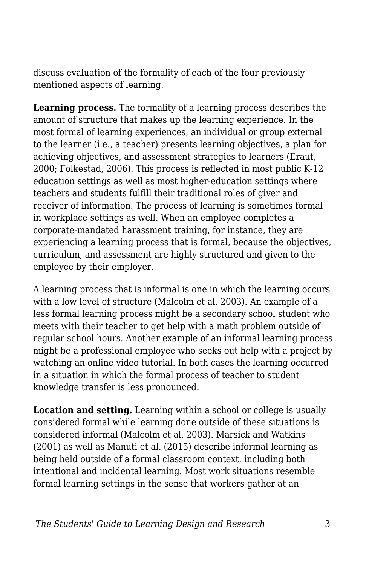discuss evaluation of the formality of each of the four previously mentioned aspects of learning.

**Learning process.** The formality of a learning process describes the amount of structure that makes up the learning experience. In the most formal of learning experiences, an individual or group external to the learner (i.e., a teacher) presents learning objectives, a plan for achieving objectives, and assessment strategies to learners (Eraut, 2000; Folkestad, 2006). This process is reflected in most public K-12 education settings as well as most higher-education settings where teachers and students fulfill their traditional roles of giver and receiver of information. The process of learning is sometimes formal in workplace settings as well. When an employee completes a corporate-mandated harassment training, for instance, they are experiencing a learning process that is formal, because the objectives, curriculum, and assessment are highly structured and given to the employee by their employer.

A learning process that is informal is one in which the learning occurs with a low level of structure (Malcolm et al. 2003). An example of a less formal learning process might be a secondary school student who meets with their teacher to get help with a math problem outside of regular school hours. Another example of an informal learning process might be a professional employee who seeks out help with a project by watching an online video tutorial. In both cases the learning occurred in a situation in which the formal process of teacher to student knowledge transfer is less pronounced.

**Location and setting.** Learning within a school or college is usually considered formal while learning done outside of these situations is considered informal (Malcolm et al. 2003). Marsick and Watkins (2001) as well as Manuti et al. (2015) describe informal learning as being held outside of a formal classroom context, including both intentional and incidental learning. Most work situations resemble formal learning settings in the sense that workers gather at an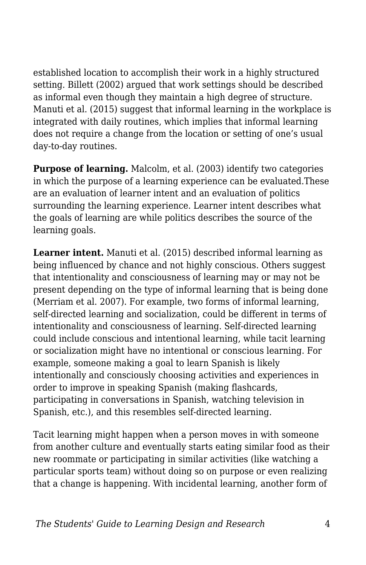established location to accomplish their work in a highly structured setting. Billett (2002) argued that work settings should be described as informal even though they maintain a high degree of structure. Manuti et al. (2015) suggest that informal learning in the workplace is integrated with daily routines, which implies that informal learning does not require a change from the location or setting of one's usual day-to-day routines.

**Purpose of learning.** Malcolm, et al. (2003) identify two categories in which the purpose of a learning experience can be evaluated.These are an evaluation of learner intent and an evaluation of politics surrounding the learning experience. Learner intent describes what the goals of learning are while politics describes the source of the learning goals.

**Learner intent.** Manuti et al. (2015) described informal learning as being influenced by chance and not highly conscious. Others suggest that intentionality and consciousness of learning may or may not be present depending on the type of informal learning that is being done (Merriam et al. 2007). For example, two forms of informal learning, self-directed learning and socialization, could be different in terms of intentionality and consciousness of learning. Self-directed learning could include conscious and intentional learning, while tacit learning or socialization might have no intentional or conscious learning. For example, someone making a goal to learn Spanish is likely intentionally and consciously choosing activities and experiences in order to improve in speaking Spanish (making flashcards, participating in conversations in Spanish, watching television in Spanish, etc.), and this resembles self-directed learning.

Tacit learning might happen when a person moves in with someone from another culture and eventually starts eating similar food as their new roommate or participating in similar activities (like watching a particular sports team) without doing so on purpose or even realizing that a change is happening. With incidental learning, another form of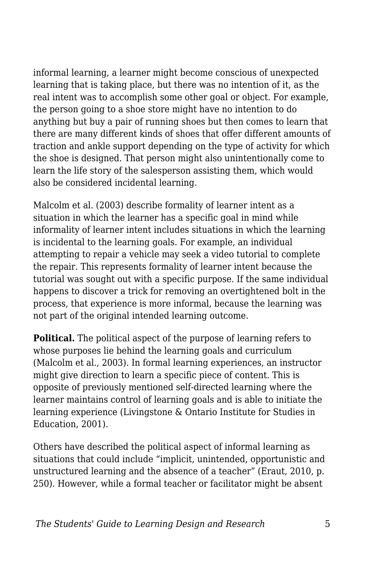informal learning, a learner might become conscious of unexpected learning that is taking place, but there was no intention of it, as the real intent was to accomplish some other goal or object. For example, the person going to a shoe store might have no intention to do anything but buy a pair of running shoes but then comes to learn that there are many different kinds of shoes that offer different amounts of traction and ankle support depending on the type of activity for which the shoe is designed. That person might also unintentionally come to learn the life story of the salesperson assisting them, which would also be considered incidental learning.

Malcolm et al. (2003) describe formality of learner intent as a situation in which the learner has a specific goal in mind while informality of learner intent includes situations in which the learning is incidental to the learning goals. For example, an individual attempting to repair a vehicle may seek a video tutorial to complete the repair. This represents formality of learner intent because the tutorial was sought out with a specific purpose. If the same individual happens to discover a trick for removing an overtightened bolt in the process, that experience is more informal, because the learning was not part of the original intended learning outcome.

**Political.** The political aspect of the purpose of learning refers to whose purposes lie behind the learning goals and curriculum (Malcolm et al., 2003). In formal learning experiences, an instructor might give direction to learn a specific piece of content. This is opposite of previously mentioned self-directed learning where the learner maintains control of learning goals and is able to initiate the learning experience (Livingstone & Ontario Institute for Studies in Education, 2001).

Others have described the political aspect of informal learning as situations that could include "implicit, unintended, opportunistic and unstructured learning and the absence of a teacher" (Eraut, 2010, p. 250). However, while a formal teacher or facilitator might be absent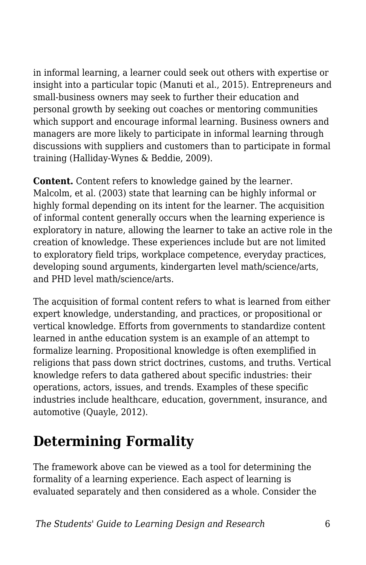in informal learning, a learner could seek out others with expertise or insight into a particular topic (Manuti et al., 2015). Entrepreneurs and small-business owners may seek to further their education and personal growth by seeking out coaches or mentoring communities which support and encourage informal learning. Business owners and managers are more likely to participate in informal learning through discussions with suppliers and customers than to participate in formal training (Halliday-Wynes & Beddie, 2009).

**Content.** Content refers to knowledge gained by the learner. Malcolm, et al. (2003) state that learning can be highly informal or highly formal depending on its intent for the learner. The acquisition of informal content generally occurs when the learning experience is exploratory in nature, allowing the learner to take an active role in the creation of knowledge. These experiences include but are not limited to exploratory field trips, workplace competence, everyday practices, developing sound arguments, kindergarten level math/science/arts, and PHD level math/science/arts.

The acquisition of formal content refers to what is learned from either expert knowledge, understanding, and practices, or propositional or vertical knowledge. Efforts from governments to standardize content learned in anthe education system is an example of an attempt to formalize learning. Propositional knowledge is often exemplified in religions that pass down strict doctrines, customs, and truths. Vertical knowledge refers to data gathered about specific industries: their operations, actors, issues, and trends. Examples of these specific industries include healthcare, education, government, insurance, and automotive (Quayle, 2012).

### **Determining Formality**

The framework above can be viewed as a tool for determining the formality of a learning experience. Each aspect of learning is evaluated separately and then considered as a whole. Consider the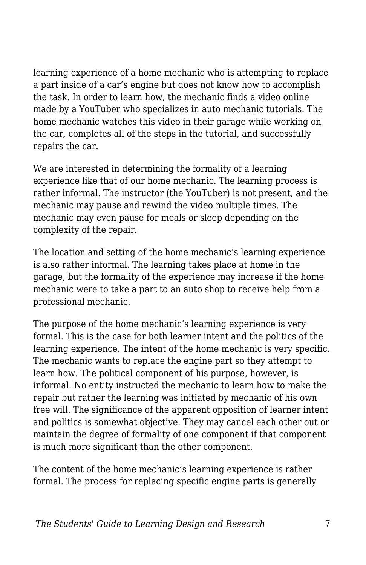learning experience of a home mechanic who is attempting to replace a part inside of a car's engine but does not know how to accomplish the task. In order to learn how, the mechanic finds a video online made by a YouTuber who specializes in auto mechanic tutorials. The home mechanic watches this video in their garage while working on the car, completes all of the steps in the tutorial, and successfully repairs the car.

We are interested in determining the formality of a learning experience like that of our home mechanic. The learning process is rather informal. The instructor (the YouTuber) is not present, and the mechanic may pause and rewind the video multiple times. The mechanic may even pause for meals or sleep depending on the complexity of the repair.

The location and setting of the home mechanic's learning experience is also rather informal. The learning takes place at home in the garage, but the formality of the experience may increase if the home mechanic were to take a part to an auto shop to receive help from a professional mechanic.

The purpose of the home mechanic's learning experience is very formal. This is the case for both learner intent and the politics of the learning experience. The intent of the home mechanic is very specific. The mechanic wants to replace the engine part so they attempt to learn how. The political component of his purpose, however, is informal. No entity instructed the mechanic to learn how to make the repair but rather the learning was initiated by mechanic of his own free will. The significance of the apparent opposition of learner intent and politics is somewhat objective. They may cancel each other out or maintain the degree of formality of one component if that component is much more significant than the other component.

The content of the home mechanic's learning experience is rather formal. The process for replacing specific engine parts is generally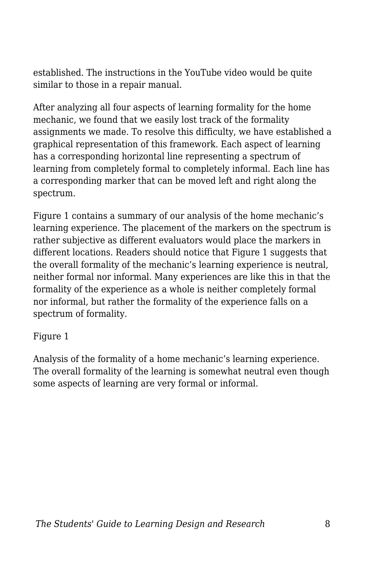established. The instructions in the YouTube video would be quite similar to those in a repair manual.

After analyzing all four aspects of learning formality for the home mechanic, we found that we easily lost track of the formality assignments we made. To resolve this difficulty, we have established a graphical representation of this framework. Each aspect of learning has a corresponding horizontal line representing a spectrum of learning from completely formal to completely informal. Each line has a corresponding marker that can be moved left and right along the spectrum.

Figure 1 contains a summary of our analysis of the home mechanic's learning experience. The placement of the markers on the spectrum is rather subjective as different evaluators would place the markers in different locations. Readers should notice that Figure 1 suggests that the overall formality of the mechanic's learning experience is neutral, neither formal nor informal. Many experiences are like this in that the formality of the experience as a whole is neither completely formal nor informal, but rather the formality of the experience falls on a spectrum of formality.

#### Figure 1

Analysis of the formality of a home mechanic's learning experience. The overall formality of the learning is somewhat neutral even though some aspects of learning are very formal or informal.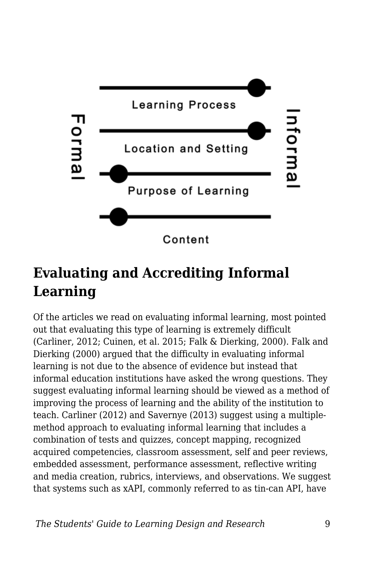

## **Evaluating and Accrediting Informal Learning**

Of the articles we read on evaluating informal learning, most pointed out that evaluating this type of learning is extremely difficult (Carliner, 2012; Cuinen, et al. 2015; Falk & Dierking, 2000). Falk and Dierking (2000) argued that the difficulty in evaluating informal learning is not due to the absence of evidence but instead that informal education institutions have asked the wrong questions. They suggest evaluating informal learning should be viewed as a method of improving the process of learning and the ability of the institution to teach. Carliner (2012) and Savernye (2013) suggest using a multiplemethod approach to evaluating informal learning that includes a combination of tests and quizzes, concept mapping, recognized acquired competencies, classroom assessment, self and peer reviews, embedded assessment, performance assessment, reflective writing and media creation, rubrics, interviews, and observations. We suggest that systems such as xAPI, commonly referred to as tin-can API, have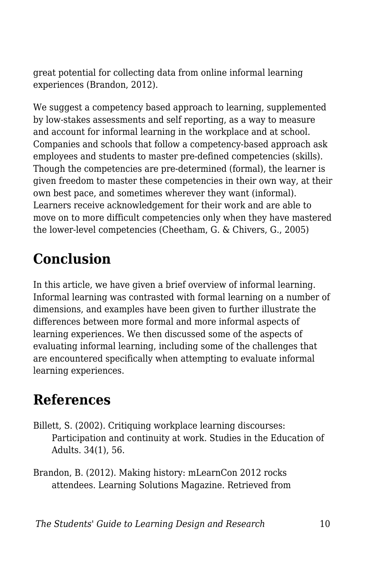great potential for collecting data from online informal learning experiences (Brandon, 2012).

We suggest a competency based approach to learning, supplemented by low-stakes assessments and self reporting, as a way to measure and account for informal learning in the workplace and at school. Companies and schools that follow a competency-based approach ask employees and students to master pre-defined competencies (skills). Though the competencies are pre-determined (formal), the learner is given freedom to master these competencies in their own way, at their own best pace, and sometimes wherever they want (informal). Learners receive acknowledgement for their work and are able to move on to more difficult competencies only when they have mastered the lower-level competencies (Cheetham, G. & Chivers, G., 2005)

# **Conclusion**

In this article, we have given a brief overview of informal learning. Informal learning was contrasted with formal learning on a number of dimensions, and examples have been given to further illustrate the differences between more formal and more informal aspects of learning experiences. We then discussed some of the aspects of evaluating informal learning, including some of the challenges that are encountered specifically when attempting to evaluate informal learning experiences.

### **References**

- Billett, S. (2002). Critiquing workplace learning discourses: Participation and continuity at work. Studies in the Education of Adults. 34(1), 56.
- Brandon, B. (2012). Making history: mLearnCon 2012 rocks attendees. Learning Solutions Magazine. Retrieved from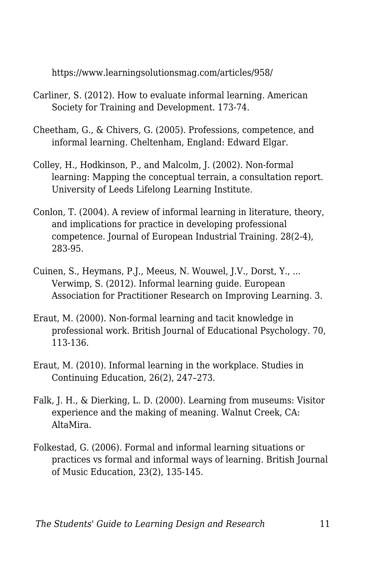https://www.learningsolutionsmag.com/articles/958/

- Carliner, S. (2012). How to evaluate informal learning. American Society for Training and Development. 173-74.
- Cheetham, G., & Chivers, G. (2005). Professions, competence, and informal learning. Cheltenham, England: Edward Elgar.
- Colley, H., Hodkinson, P., and Malcolm, J. (2002). Non-formal learning: Mapping the conceptual terrain, a consultation report. University of Leeds Lifelong Learning Institute.
- Conlon, T. (2004). A review of informal learning in literature, theory, and implications for practice in developing professional competence. Journal of European Industrial Training. 28(2-4), 283-95.
- Cuinen, S., Heymans, P.J., Meeus, N. Wouwel, J.V., Dorst, Y., ... Verwimp, S. (2012). Informal learning guide. European Association for Practitioner Research on Improving Learning. 3.
- Eraut, M. (2000). Non-formal learning and tacit knowledge in professional work. British Journal of Educational Psychology. 70, 113-136.
- Eraut, M. (2010). Informal learning in the workplace. Studies in Continuing Education, 26(2), 247–273.
- Falk, J. H., & Dierking, L. D. (2000). Learning from museums: Visitor experience and the making of meaning. Walnut Creek, CA: AltaMira.
- Folkestad, G. (2006). Formal and informal learning situations or practices vs formal and informal ways of learning. British Journal of Music Education, 23(2), 135-145.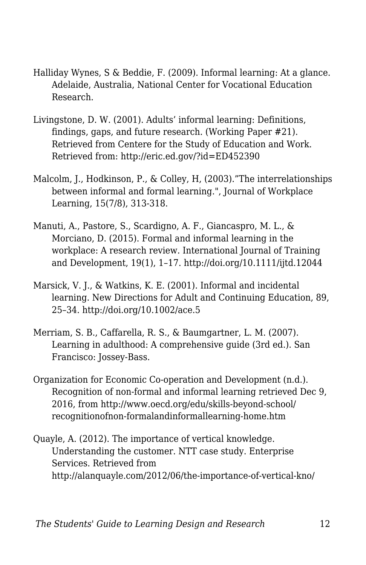- Halliday Wynes, S & Beddie, F. (2009). Informal learning: At a glance. Adelaide, Australia, National Center for Vocational Education Research.
- Livingstone, D. W. (2001). Adults' informal learning: Definitions, findings, gaps, and future research. (Working Paper #21). Retrieved from Centere for the Study of Education and Work. Retrieved from: http://eric.ed.gov/?id=ED452390
- Malcolm, J., Hodkinson, P., & Colley, H, (2003)."The interrelationships between informal and formal learning.", Journal of Workplace Learning, 15(7/8), 313-318.
- Manuti, A., Pastore, S., Scardigno, A. F., Giancaspro, M. L., & Morciano, D. (2015). Formal and informal learning in the workplace: A research review. International Journal of Training and Development, 19(1), 1–17. http://doi.org/10.1111/ijtd.12044
- Marsick, V. J., & Watkins, K. E. (2001). Informal and incidental learning. New Directions for Adult and Continuing Education, 89, 25–34. http://doi.org/10.1002/ace.5
- Merriam, S. B., Caffarella, R. S., & Baumgartner, L. M. (2007). Learning in adulthood: A comprehensive guide (3rd ed.). San Francisco: Jossey-Bass.
- Organization for Economic Co-operation and Development (n.d.). Recognition of non-formal and informal learning retrieved Dec 9, 2016, from http://www.oecd.org/edu/skills-beyond-school/ recognitionofnon-formalandinformallearning-home.htm
- Quayle, A. (2012). The importance of vertical knowledge. Understanding the customer. NTT case study. Enterprise Services. Retrieved from http://alanquayle.com/2012/06/the-importance-of-vertical-kno/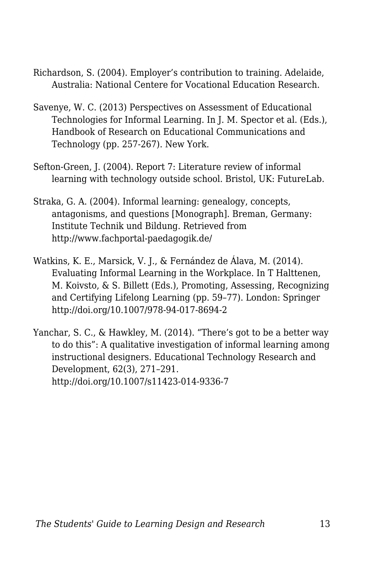- Richardson, S. (2004). Employer's contribution to training. Adelaide, Australia: National Centere for Vocational Education Research.
- Savenye, W. C. (2013) Perspectives on Assessment of Educational Technologies for Informal Learning. In J. M. Spector et al. (Eds.), Handbook of Research on Educational Communications and Technology (pp. 257-267). New York.
- Sefton-Green, J. (2004). Report 7: Literature review of informal learning with technology outside school. Bristol, UK: FutureLab.
- Straka, G. A. (2004). Informal learning: genealogy, concepts, antagonisms, and questions [Monograph]. Breman, Germany: Institute Technik und Bildung. Retrieved from http://www.fachportal-paedagogik.de/
- Watkins, K. E., Marsick, V. J., & Fernández de Álava, M. (2014). Evaluating Informal Learning in the Workplace. In T Halttenen, M. Koivsto, & S. Billett (Eds.), Promoting, Assessing, Recognizing and Certifying Lifelong Learning (pp. 59–77). London: Springer http://doi.org/10.1007/978-94-017-8694-2
- Yanchar, S. C., & Hawkley, M. (2014). "There's got to be a better way to do this": A qualitative investigation of informal learning among instructional designers. Educational Technology Research and Development, 62(3), 271–291. http://doi.org/10.1007/s11423-014-9336-7